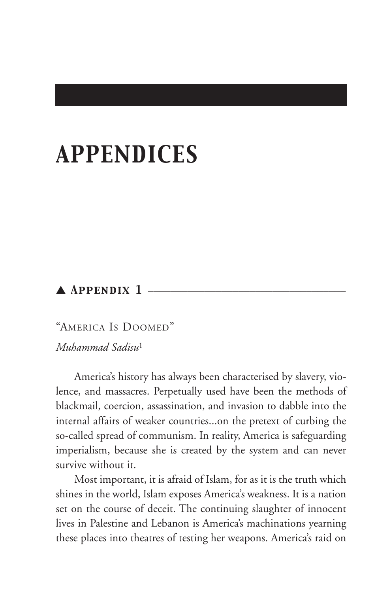# *APPENDICES*

# ▲ *Appendix 1* \_\_\_\_\_\_\_\_\_\_\_\_\_\_\_\_\_\_\_\_\_\_\_\_\_\_\_\_\_\_\_\_\_\_\_

"AMERICA IS DOOMED" *Muhammad Sadisu*<sup>1</sup>

America's history has always been characterised by slavery, violence, and massacres. Perpetually used have been the methods of blackmail, coercion, assassination, and invasion to dabble into the internal affairs of weaker countries...on the pretext of curbing the so-called spread of communism. In reality, America is safeguarding imperialism, because she is created by the system and can never survive without it.

Most important, it is afraid of Islam, for as it is the truth which shines in the world, Islam exposes America's weakness. It is a nation set on the course of deceit. The continuing slaughter of innocent lives in Palestine and Lebanon is America's machinations yearning these places into theatres of testing her weapons. America's raid on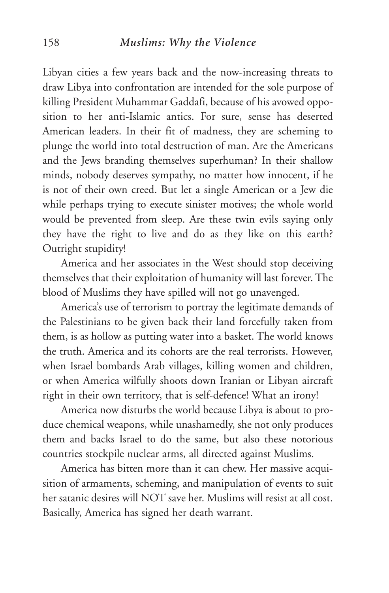Libyan cities a few years back and the now-increasing threats to draw Libya into confrontation are intended for the sole purpose of killing President Muhammar Gaddafi, because of his avowed opposition to her anti-Islamic antics. For sure, sense has deserted American leaders. In their fit of madness, they are scheming to plunge the world into total destruction of man. Are the Americans and the Jews branding themselves superhuman? In their shallow minds, nobody deserves sympathy, no matter how innocent, if he is not of their own creed. But let a single American or a Jew die while perhaps trying to execute sinister motives; the whole world would be prevented from sleep. Are these twin evils saying only they have the right to live and do as they like on this earth? Outright stupidity!

America and her associates in the West should stop deceiving themselves that their exploitation of humanity will last forever. The blood of Muslims they have spilled will not go unavenged.

America's use of terrorism to portray the legitimate demands of the Palestinians to be given back their land forcefully taken from them, is as hollow as putting water into a basket. The world knows the truth. America and its cohorts are the real terrorists. However, when Israel bombards Arab villages, killing women and children, or when America wilfully shoots down Iranian or Libyan aircraft right in their own territory, that is self-defence! What an irony!

America now disturbs the world because Libya is about to produce chemical weapons, while unashamedly, she not only produces them and backs Israel to do the same, but also these notorious countries stockpile nuclear arms, all directed against Muslims.

America has bitten more than it can chew. Her massive acquisition of armaments, scheming, and manipulation of events to suit her satanic desires will NOT save her. Muslims will resist at all cost. Basically, America has signed her death warrant.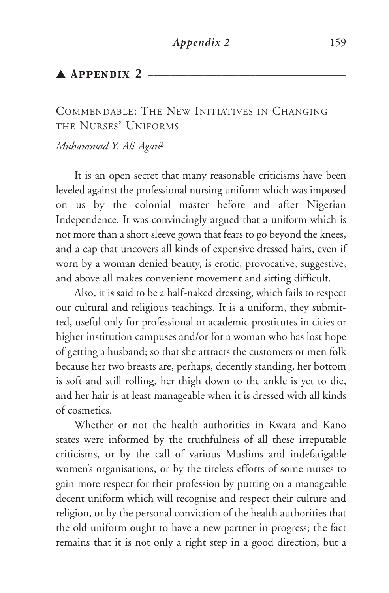COMMENDABLE: THE NEW INITIATIVES IN CHANGING THE NURSES' UNIFORMS

*Muhammad Y. Ali-Agan*<sup>2</sup>

It is an open secret that many reasonable criticisms have been leveled against the professional nursing uniform which was imposed on us by the colonial master before and after Nigerian Independence. It was convincingly argued that a uniform which is not more than a short sleeve gown that fears to go beyond the knees, and a cap that uncovers all kinds of expensive dressed hairs, even if worn by a woman denied beauty, is erotic, provocative, suggestive, and above all makes convenient movement and sitting difficult.

Also, it is said to be a half-naked dressing, which fails to respect our cultural and religious teachings. It is a uniform, they submitted, useful only for professional or academic prostitutes in cities or higher institution campuses and/or for a woman who has lost hope of getting a husband; so that she attracts the customers or men folk because her two breasts are, perhaps, decently standing, her bottom is soft and still rolling, her thigh down to the ankle is yet to die, and her hair is at least manageable when it is dressed with all kinds of cosmetics.

Whether or not the health authorities in Kwara and Kano states were informed by the truthfulness of all these irreputable criticisms, or by the call of various Muslims and indefatigable women's organisations, or by the tireless efforts of some nurses to gain more respect for their profession by putting on a manageable decent uniform which will recognise and respect their culture and religion, or by the personal conviction of the health authorities that the old uniform ought to have a new partner in progress; the fact remains that it is not only a right step in a good direction, but a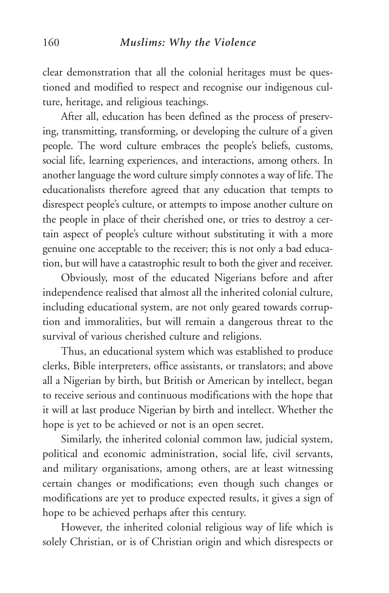clear demonstration that all the colonial heritages must be questioned and modified to respect and recognise our indigenous culture, heritage, and religious teachings.

After all, education has been defined as the process of preserving, transmitting, transforming, or developing the culture of a given people. The word culture embraces the people's beliefs, customs, social life, learning experiences, and interactions, among others. In another language the word culture simply connotes a way of life. The educationalists therefore agreed that any education that tempts to disrespect people's culture, or attempts to impose another culture on the people in place of their cherished one, or tries to destroy a certain aspect of people's culture without substituting it with a more genuine one acceptable to the receiver; this is not only a bad education, but will have a catastrophic result to both the giver and receiver.

Obviously, most of the educated Nigerians before and after independence realised that almost all the inherited colonial culture, including educational system, are not only geared towards corruption and immoralities, but will remain a dangerous threat to the survival of various cherished culture and religions.

Thus, an educational system which was established to produce clerks, Bible interpreters, office assistants, or translators; and above all a Nigerian by birth, but British or American by intellect, began to receive serious and continuous modifications with the hope that it will at last produce Nigerian by birth and intellect. Whether the hope is yet to be achieved or not is an open secret.

Similarly, the inherited colonial common law, judicial system, political and economic administration, social life, civil servants, and military organisations, among others, are at least witnessing certain changes or modifications; even though such changes or modifications are yet to produce expected results, it gives a sign of hope to be achieved perhaps after this century.

However, the inherited colonial religious way of life which is solely Christian, or is of Christian origin and which disrespects or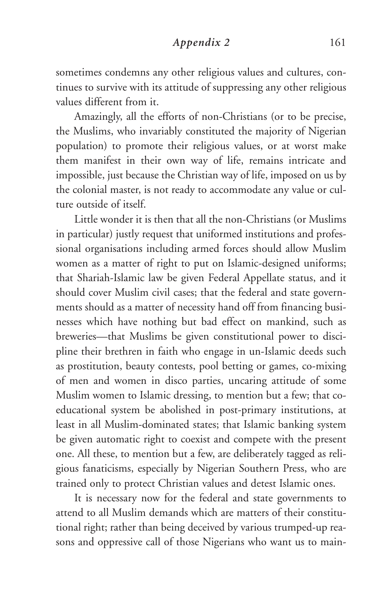#### *Appendix 2* 161

sometimes condemns any other religious values and cultures, continues to survive with its attitude of suppressing any other religious values different from it.

Amazingly, all the efforts of non-Christians (or to be precise, the Muslims, who invariably constituted the majority of Nigerian population) to promote their religious values, or at worst make them manifest in their own way of life, remains intricate and impossible, just because the Christian way of life, imposed on us by the colonial master, is not ready to accommodate any value or culture outside of itself.

Little wonder it is then that all the non-Christians (or Muslims in particular) justly request that uniformed institutions and professional organisations including armed forces should allow Muslim women as a matter of right to put on Islamic-designed uniforms; that Shariah-Islamic law be given Federal Appellate status, and it should cover Muslim civil cases; that the federal and state governments should as a matter of necessity hand off from financing businesses which have nothing but bad effect on mankind, such as breweries—that Muslims be given constitutional power to discipline their brethren in faith who engage in un-Islamic deeds such as prostitution, beauty contests, pool betting or games, co-mixing of men and women in disco parties, uncaring attitude of some Muslim women to Islamic dressing, to mention but a few; that coeducational system be abolished in post-primary institutions, at least in all Muslim-dominated states; that Islamic banking system be given automatic right to coexist and compete with the present one. All these, to mention but a few, are deliberately tagged as religious fanaticisms, especially by Nigerian Southern Press, who are trained only to protect Christian values and detest Islamic ones.

It is necessary now for the federal and state governments to attend to all Muslim demands which are matters of their constitutional right; rather than being deceived by various trumped-up reasons and oppressive call of those Nigerians who want us to main-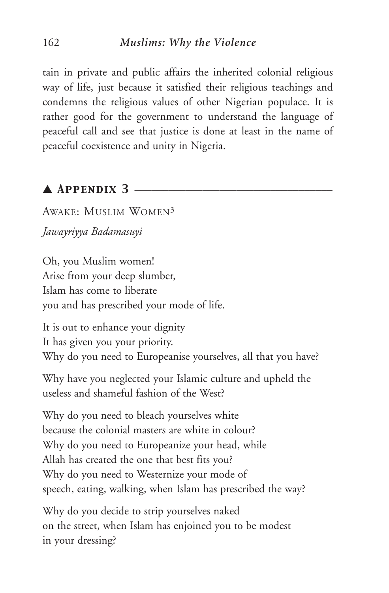tain in private and public affairs the inherited colonial religious way of life, just because it satisfied their religious teachings and condemns the religious values of other Nigerian populace. It is rather good for the government to understand the language of peaceful call and see that justice is done at least in the name of peaceful coexistence and unity in Nigeria.

# $\blacktriangle$  Appendix 3  $\blacktriangle$

AWAKE: MUSLIM WOMEN3 *Jawayriyya Badamasuyi*

Oh, you Muslim women! Arise from your deep slumber, Islam has come to liberate you and has prescribed your mode of life.

It is out to enhance your dignity It has given you your priority. Why do you need to Europeanise yourselves, all that you have?

Why have you neglected your Islamic culture and upheld the useless and shameful fashion of the West?

Why do you need to bleach yourselves white because the colonial masters are white in colour? Why do you need to Europeanize your head, while Allah has created the one that best fits you? Why do you need to Westernize your mode of speech, eating, walking, when Islam has prescribed the way?

Why do you decide to strip yourselves naked on the street, when Islam has enjoined you to be modest in your dressing?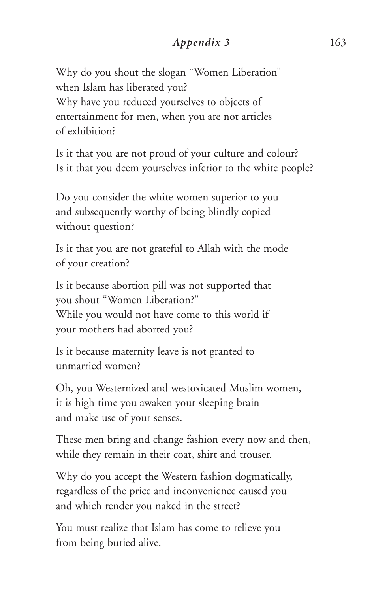# *Appendix 3* 163

Why do you shout the slogan "Women Liberation" when Islam has liberated you? Why have you reduced yourselves to objects of entertainment for men, when you are not articles of exhibition?

Is it that you are not proud of your culture and colour? Is it that you deem yourselves inferior to the white people?

Do you consider the white women superior to you and subsequently worthy of being blindly copied without question?

Is it that you are not grateful to Allah with the mode of your creation?

Is it because abortion pill was not supported that you shout "Women Liberation?" While you would not have come to this world if your mothers had aborted you?

Is it because maternity leave is not granted to unmarried women?

Oh, you Westernized and westoxicated Muslim women, it is high time you awaken your sleeping brain and make use of your senses.

These men bring and change fashion every now and then, while they remain in their coat, shirt and trouser.

Why do you accept the Western fashion dogmatically, regardless of the price and inconvenience caused you and which render you naked in the street?

You must realize that Islam has come to relieve you from being buried alive.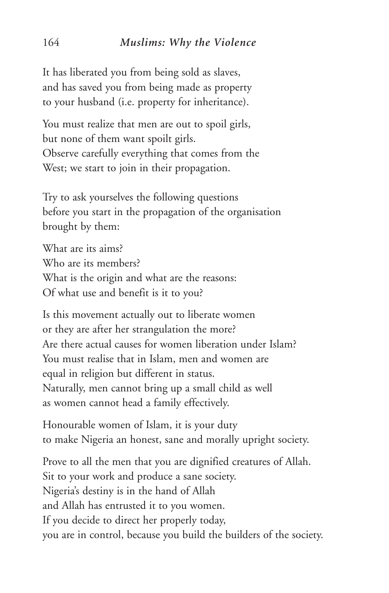It has liberated you from being sold as slaves, and has saved you from being made as property to your husband (i.e. property for inheritance).

You must realize that men are out to spoil girls, but none of them want spoilt girls. Observe carefully everything that comes from the West; we start to join in their propagation.

Try to ask yourselves the following questions before you start in the propagation of the organisation brought by them:

What are its aims? Who are its members? What is the origin and what are the reasons: Of what use and benefit is it to you?

Is this movement actually out to liberate women or they are after her strangulation the more? Are there actual causes for women liberation under Islam? You must realise that in Islam, men and women are equal in religion but different in status. Naturally, men cannot bring up a small child as well as women cannot head a family effectively.

Honourable women of Islam, it is your duty to make Nigeria an honest, sane and morally upright society.

Prove to all the men that you are dignified creatures of Allah. Sit to your work and produce a sane society. Nigeria's destiny is in the hand of Allah and Allah has entrusted it to you women. If you decide to direct her properly today, you are in control, because you build the builders of the society.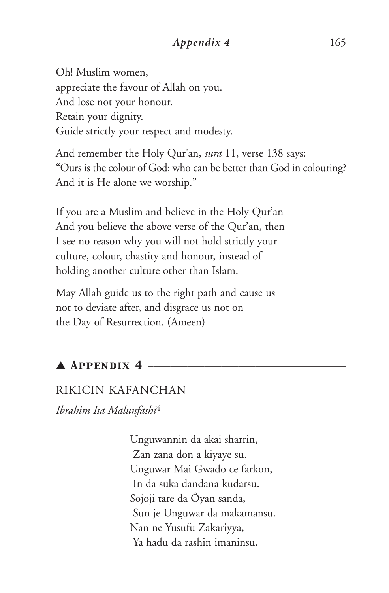## *Appendix 4* 165

Oh! Muslim women, appreciate the favour of Allah on you. And lose not your honour. Retain your dignity. Guide strictly your respect and modesty.

And remember the Holy Qur'an, *sura* 11, verse 138 says: "Ours is the colour of God; who can be better than God in colouring? And it is He alone we worship."

If you are a Muslim and believe in the Holy Qur'an And you believe the above verse of the Qur'an, then I see no reason why you will not hold strictly your culture, colour, chastity and honour, instead of holding another culture other than Islam.

May Allah guide us to the right path and cause us not to deviate after, and disgrace us not on the Day of Resurrection. (Ameen)

# ▲ *Appendix 4* \_\_\_\_\_\_\_\_\_\_\_\_\_\_\_\_\_\_\_\_\_\_\_\_\_\_\_\_\_\_\_\_\_\_\_

## RIKICIN KAFANCHAN

*Ibrahim Isa Malunfashi*<sup>4</sup>

Unguwannin da akai sharrin, Zan zana don a kiyaye su. Unguwar Mai Gwado ce farkon, In da suka dandana kudarsu. Sojoji tare da Ôyan sanda, Sun je Unguwar da makamansu. Nan ne Yusufu Zakariyya, Ya hadu da rashin imaninsu.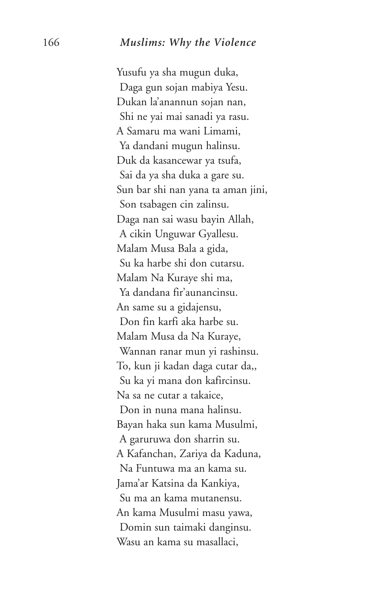Yusufu ya sha mugun duka, Daga gun sojan mabiya Yesu. Dukan la'anannun sojan nan, Shi ne yai mai sanadi ya rasu. A Samaru ma wani Limami, Ya dandani mugun halinsu. Duk da kasancewar ya tsufa, Sai da ya sha duka a gare su. Sun bar shi nan yana ta aman jini, Son tsabagen cin zalinsu. Daga nan sai wasu bayin Allah, A cikin Unguwar Gyallesu. Malam Musa Bala a gida, Su ka harbe shi don cutarsu. Malam Na Kuraye shi ma, Ya dandana fir'aunancinsu. An same su a gidajensu, Don fin karfi aka harbe su. Malam Musa da Na Kuraye, Wannan ranar mun yi rashinsu. To, kun ji kadan daga cutar da,, Su ka yi mana don kafircinsu. Na sa ne cutar a takaice, Don in nuna mana halinsu. Bayan haka sun kama Musulmi, A garuruwa don sharrin su. A Kafanchan, Zariya da Kaduna, Na Funtuwa ma an kama su. Jama'ar Katsina da Kankiya, Su ma an kama mutanensu. An kama Musulmi masu yawa, Domin sun taimaki danginsu. Wasu an kama su masallaci,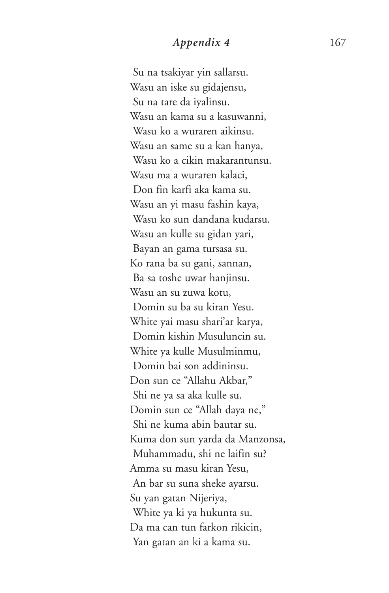# *Appendix 4* 167

Su na tsakiyar yin sallarsu. Wasu an iske su gidajensu, Su na tare da iyalinsu. Wasu an kama su a kasuwanni, Wasu ko a wuraren aikinsu. Wasu an same su a kan hanya, Wasu ko a cikin makarantunsu. Wasu ma a wuraren kalaci, Don fin karfi aka kama su. Wasu an yi masu fashin kaya, Wasu ko sun dandana kudarsu. Wasu an kulle su gidan yari, Bayan an gama tursasa su. Ko rana ba su gani, sannan, Ba sa toshe uwar hanjinsu. Wasu an su zuwa kotu, Domin su ba su kiran Yesu. White yai masu shari'ar karya, Domin kishin Musuluncin su. White ya kulle Musulminmu, Domin bai son addininsu. Don sun ce "Allahu Akbar," Shi ne ya sa aka kulle su. Domin sun ce "Allah daya ne," Shi ne kuma abin bautar su. Kuma don sun yarda da Manzonsa, Muhammadu, shi ne laifin su? Amma su masu kiran Yesu, An bar su suna sheke ayarsu. Su yan gatan Nijeriya, White ya ki ya hukunta su. Da ma can tun farkon rikicin, Yan gatan an ki a kama su.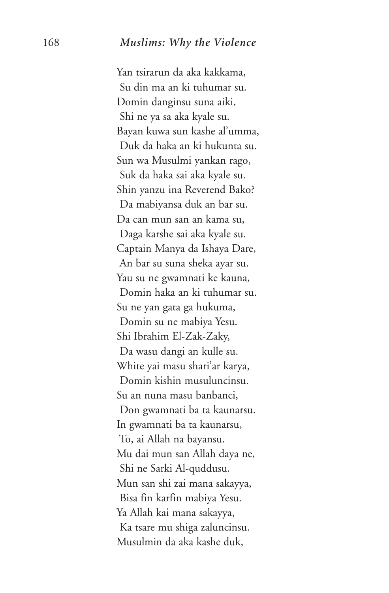Yan tsirarun da aka kakkama, Su din ma an ki tuhumar su. Domin danginsu suna aiki, Shi ne ya sa aka kyale su. Bayan kuwa sun kashe al'umma, Duk da haka an ki hukunta su. Sun wa Musulmi yankan rago, Suk da haka sai aka kyale su. Shin yanzu ina Reverend Bako? Da mabiyansa duk an bar su. Da can mun san an kama su, Daga karshe sai aka kyale su. Captain Manya da Ishaya Dare, An bar su suna sheka ayar su. Yau su ne gwamnati ke kauna, Domin haka an ki tuhumar su. Su ne yan gata ga hukuma, Domin su ne mabiya Yesu. Shi Ibrahim El-Zak-Zaky, Da wasu dangi an kulle su. White yai masu shari'ar karya, Domin kishin musuluncinsu. Su an nuna masu banbanci, Don gwamnati ba ta kaunarsu. In gwamnati ba ta kaunarsu, To, ai Allah na bayansu. Mu dai mun san Allah daya ne, Shi ne Sarki Al-quddusu. Mun san shi zai mana sakayya, Bisa fin karfin mabiya Yesu. Ya Allah kai mana sakayya, Ka tsare mu shiga zaluncinsu. Musulmin da aka kashe duk,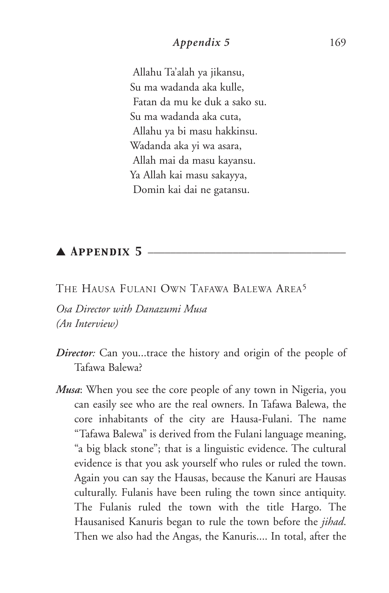## *Appendix 5* 169

Allahu Ta'alah ya jikansu, Su ma wadanda aka kulle, Fatan da mu ke duk a sako su. Su ma wadanda aka cuta, Allahu ya bi masu hakkinsu. Wadanda aka yi wa asara, Allah mai da masu kayansu. Ya Allah kai masu sakayya, Domin kai dai ne gatansu.

## $\blacktriangle$  Appendix 5  $\equiv$

THE HAUSA FULANI OWN TAFAWA BALEWA AREA5

*Osa Director with Danazumi Musa (An Interview)*

- *Director:* Can you...trace the history and origin of the people of Tafawa Balewa?
- *Musa*: When you see the core people of any town in Nigeria, you can easily see who are the real owners. In Tafawa Balewa, the core inhabitants of the city are Hausa-Fulani. The name "Tafawa Balewa" is derived from the Fulani language meaning, "a big black stone"; that is a linguistic evidence. The cultural evidence is that you ask yourself who rules or ruled the town. Again you can say the Hausas, because the Kanuri are Hausas culturally. Fulanis have been ruling the town since antiquity. The Fulanis ruled the town with the title Hargo. The Hausanised Kanuris began to rule the town before the *jihad*. Then we also had the Angas, the Kanuris.... In total, after the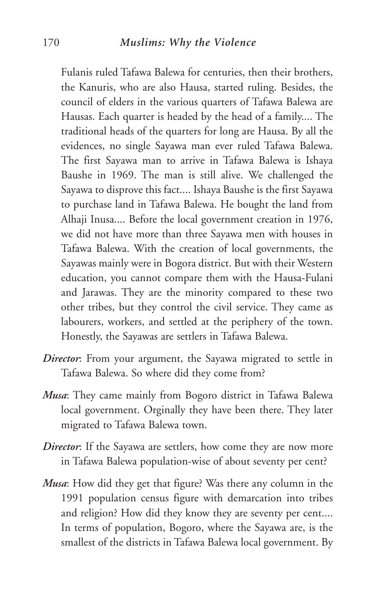Fulanis ruled Tafawa Balewa for centuries, then their brothers, the Kanuris, who are also Hausa, started ruling. Besides, the council of elders in the various quarters of Tafawa Balewa are Hausas. Each quarter is headed by the head of a family.... The traditional heads of the quarters for long are Hausa. By all the evidences, no single Sayawa man ever ruled Tafawa Balewa. The first Sayawa man to arrive in Tafawa Balewa is Ishaya Baushe in 1969. The man is still alive. We challenged the Sayawa to disprove this fact.... Ishaya Baushe is the first Sayawa to purchase land in Tafawa Balewa. He bought the land from Alhaji Inusa.... Before the local government creation in 1976, we did not have more than three Sayawa men with houses in Tafawa Balewa. With the creation of local governments, the Sayawas mainly were in Bogora district. But with their Western education, you cannot compare them with the Hausa-Fulani and Jarawas. They are the minority compared to these two other tribes, but they control the civil service. They came as labourers, workers, and settled at the periphery of the town. Honestly, the Sayawas are settlers in Tafawa Balewa.

- *Director*: From your argument, the Sayawa migrated to settle in Tafawa Balewa. So where did they come from?
- *Musa*: They came mainly from Bogoro district in Tafawa Balewa local government. Orginally they have been there. They later migrated to Tafawa Balewa town.
- *Director*: If the Sayawa are settlers, how come they are now more in Tafawa Balewa population-wise of about seventy per cent?
- *Musa*: How did they get that figure? Was there any column in the 1991 population census figure with demarcation into tribes and religion? How did they know they are seventy per cent.... In terms of population, Bogoro, where the Sayawa are, is the smallest of the districts in Tafawa Balewa local government. By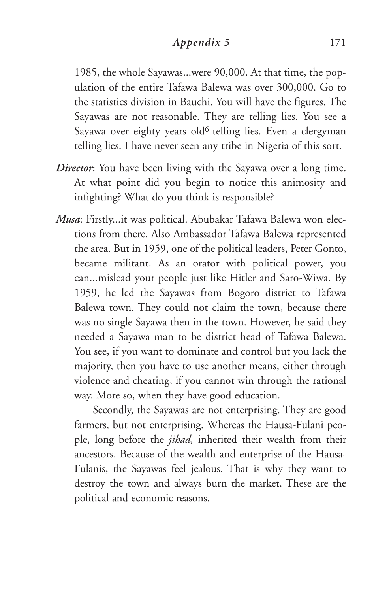### *Appendix 5* 171

1985, the whole Sayawas...were 90,000. At that time, the population of the entire Tafawa Balewa was over 300,000. Go to the statistics division in Bauchi. You will have the figures. The Sayawas are not reasonable. They are telling lies. You see a Sayawa over eighty years old<sup>6</sup> telling lies. Even a clergyman telling lies. I have never seen any tribe in Nigeria of this sort.

- *Director*: You have been living with the Sayawa over a long time. At what point did you begin to notice this animosity and infighting? What do you think is responsible?
- *Musa*: Firstly...it was political. Abubakar Tafawa Balewa won elections from there. Also Ambassador Tafawa Balewa represented the area. But in 1959, one of the political leaders, Peter Gonto, became militant. As an orator with political power, you can...mislead your people just like Hitler and Saro-Wiwa. By 1959, he led the Sayawas from Bogoro district to Tafawa Balewa town. They could not claim the town, because there was no single Sayawa then in the town. However, he said they needed a Sayawa man to be district head of Tafawa Balewa. You see, if you want to dominate and control but you lack the majority, then you have to use another means, either through violence and cheating, if you cannot win through the rational way. More so, when they have good education.

Secondly, the Sayawas are not enterprising. They are good farmers, but not enterprising. Whereas the Hausa-Fulani people, long before the *jihad,* inherited their wealth from their ancestors. Because of the wealth and enterprise of the Hausa-Fulanis, the Sayawas feel jealous. That is why they want to destroy the town and always burn the market. These are the political and economic reasons.